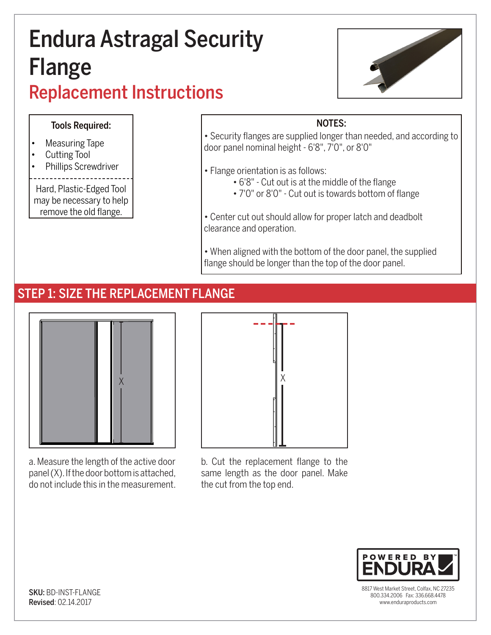# Endura Astragal Security Flange Replacement Instructions



#### Tools Required:

- Measuring Tape
- Cutting Tool
- Phillips Screwdriver

Hard, Plastic-Edged Tool may be necessary to help remove the old flange.

#### NOTES:

• Security flanges are supplied longer than needed, and according to door panel nominal height - 6'8", 7'0", or 8'0"

• Flange orientation is as follows:

- 6'8" Cut out is at the middle of the flange
- 7'0" or 8'0" Cut out is towards bottom of flange

• Center cut out should allow for proper latch and deadbolt clearance and operation.

• When aligned with the bottom of the door panel, the supplied flange should be longer than the top of the door panel.

## STEP 1: SIZE THE REPLACEMENT FLANGE



a. Measure the length of the active door panel (X). If the door bottom is attached, do not include this in the measurement.



b. Cut the replacement flange to the same length as the door panel. Make the cut from the top end.



8817 West Market Street, Colfax, NC 27235 800.334.2006 Fax: 336.668.4478 www.enduraproducts.com

SKU: BD-INST-FLANGE Revised: 02.14.2017